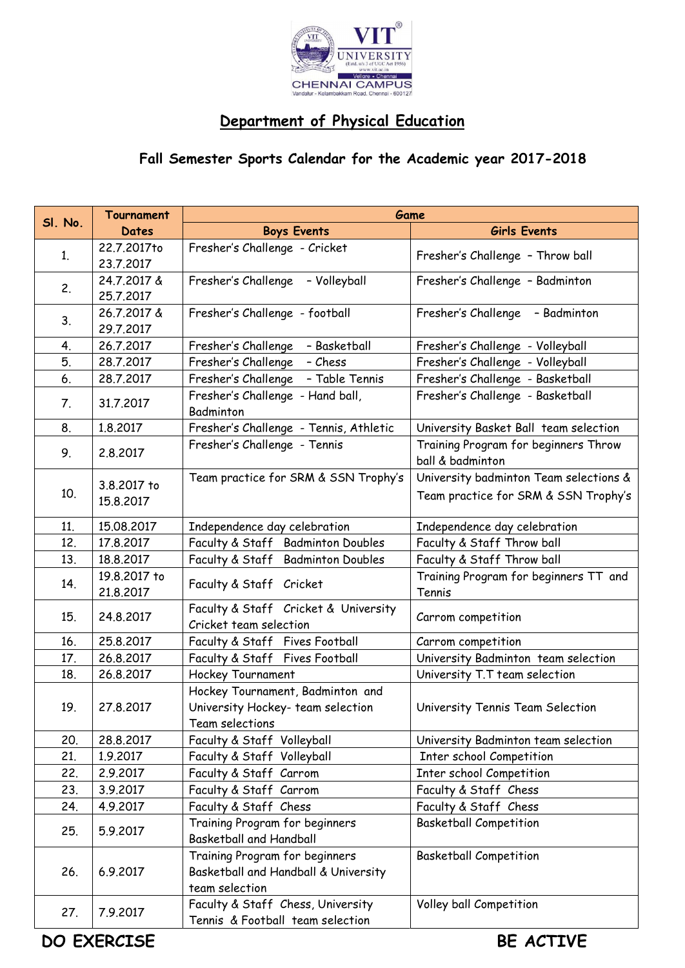

## **Department of Physical Education**

## **Fall Semester Sports Calendar for the Academic year 2017-2018**

| SI. No.        | Tournament                | Game                                                                                     |                                                          |
|----------------|---------------------------|------------------------------------------------------------------------------------------|----------------------------------------------------------|
|                | <b>Dates</b>              | <b>Boys Events</b>                                                                       | Girls Events                                             |
| 1 <sub>1</sub> | 22.7.2017to<br>23.7.2017  | Fresher's Challenge - Cricket                                                            | Fresher's Challenge - Throw ball                         |
| 2.             | 24.7.2017 &<br>25.7.2017  | Fresher's Challenge<br>- Volleyball                                                      | Fresher's Challenge - Badminton                          |
| 3.             | 26.7.2017 &<br>29.7.2017  | Fresher's Challenge - football                                                           | Fresher's Challenge<br>- Badminton                       |
| 4.             | 26.7.2017                 | Fresher's Challenge<br>- Basketball                                                      | Fresher's Challenge - Volleyball                         |
| 5.             | 28.7.2017                 | Fresher's Challenge<br>- Chess                                                           | Fresher's Challenge - Volleyball                         |
| 6.             | 28.7.2017                 | Fresher's Challenge - Table Tennis                                                       | Fresher's Challenge - Basketball                         |
| 7.             | 31,7,2017                 | Fresher's Challenge - Hand ball,<br>Badminton                                            | Fresher's Challenge - Basketball                         |
| 8.             | 1.8.2017                  | Fresher's Challenge - Tennis, Athletic                                                   | University Basket Ball team selection                    |
| 9.             | 2.8.2017                  | Fresher's Challenge - Tennis                                                             | Training Program for beginners Throw<br>ball & badminton |
|                | 3.8.2017 to<br>15.8.2017  | Team practice for SRM & SSN Trophy's                                                     | University badminton Team selections &                   |
| 10.            |                           |                                                                                          | Team practice for SRM & SSN Trophy's                     |
| 11.            | 15.08.2017                | Independence day celebration                                                             | Independence day celebration                             |
| 12.            | 17.8.2017                 | Faculty & Staff Badminton Doubles                                                        | Faculty & Staff Throw ball                               |
| 13.            | 18.8.2017                 | Faculty & Staff Badminton Doubles                                                        | Faculty & Staff Throw ball                               |
| 14.            | 19.8.2017 to<br>21.8.2017 | Faculty & Staff Cricket                                                                  | Training Program for beginners TT and<br>Tennis          |
| 15.            | 24.8.2017                 | Faculty & Staff Cricket & University<br>Cricket team selection                           | Carrom competition                                       |
| 16.            | 25.8.2017                 | Faculty & Staff Fives Football                                                           | Carrom competition                                       |
| 17.            | 26.8.2017                 | Faculty & Staff Fives Football                                                           | University Badminton team selection                      |
| 18.            | 26.8.2017                 | Hockey Tournament                                                                        | University T.T team selection                            |
| 19.            | 27.8.2017                 | Hockey Tournament, Badminton and<br>University Hockey- team selection<br>Team selections | University Tennis Team Selection                         |
| 20.            | 28.8.2017                 | Faculty & Staff Volleyball                                                               | University Badminton team selection                      |
| 21.            | 1.9.2017                  | Faculty & Staff Volleyball                                                               | Inter school Competition                                 |
| 22.            | 2.9.2017                  | Faculty & Staff Carrom                                                                   | Inter school Competition                                 |
| 23.            | 3.9.2017                  | Faculty & Staff Carrom                                                                   | Faculty & Staff Chess                                    |
| 24.            | 4.9.2017                  | Faculty & Staff Chess                                                                    | Faculty & Staff Chess                                    |
| 25.            | 5.9.2017                  | Training Program for beginners<br><b>Basketball and Handball</b>                         | <b>Basketball Competition</b>                            |
| 26.            | 6.9.2017                  | Training Program for beginners<br>Basketball and Handball & University<br>team selection | <b>Basketball Competition</b>                            |
| 27.            | 7.9.2017                  | Faculty & Staff Chess, University<br>Tennis & Football team selection                    | Volley ball Competition                                  |

**DO EXERCISE** BE ACTIVE